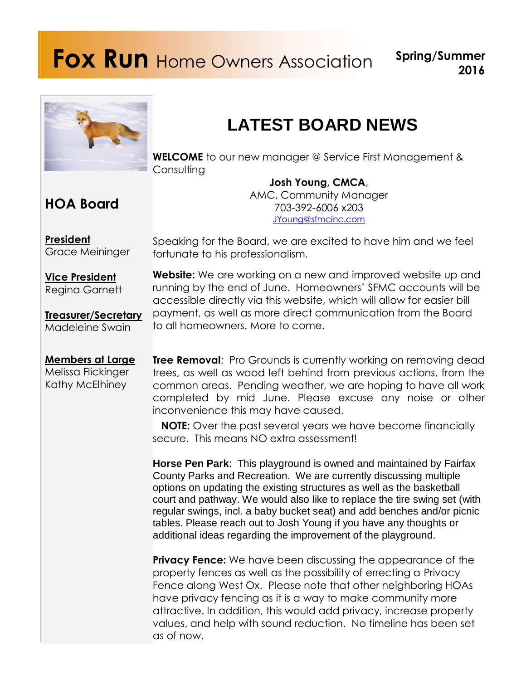# **Fox Run** Home Owners Association **Spring/Summer**

to all homeowners. More to come.



## **LATEST BOARD NEWS**

**WELCOME** to our new manager @ Service First Management & **Consulting** 

**HOA Board**

**Josh Young, CMCA**, AMC, Community Manager 703-392-6006 x203 [JYoung@sfmcinc.com](mailto:JYoung@sfmcinc.com)

**President** Grace Meininger

**Vice President** Regina Garnett

**Treasurer/Secretary** Madeleine Swain

**Members at Large** Melissa Flickinger Kathy McElhiney

fortunate to his professionalism. **Website:** We are working on a new and improved website up and running by the end of June. Homeowners' SFMC accounts will be accessible directly via this website, which will allow for easier bill payment, as well as more direct communication from the Board

Speaking for the Board, we are excited to have him and we feel

**Tree Removal:** Pro Grounds is currently working on removing dead trees, as well as wood left behind from previous actions, from the common areas. Pending weather, we are hoping to have all work completed by mid June. Please excuse any noise or other inconvenience this may have caused.

**NOTE:** Over the past several years we have become financially secure. This means NO extra assessment!

**Horse Pen Park**: This playground is owned and maintained by Fairfax County Parks and Recreation. We are currently discussing multiple options on updating the existing structures as well as the basketball court and pathway. We would also like to replace the tire swing set (with regular swings, incl. a baby bucket seat) and add benches and/or picnic tables. Please reach out to Josh Young if you have any thoughts or additional ideas regarding the improvement of the playground.

**Privacy Fence:** We have been discussing the appearance of the property fences as well as the possibility of errecting a Privacy Fence along West Ox. Please note that other neighboring HOAs have privacy fencing as it is a way to make community more attractive. In addition, this would add privacy, increase property values, and help with sound reduction. No timeline has been set as of now.